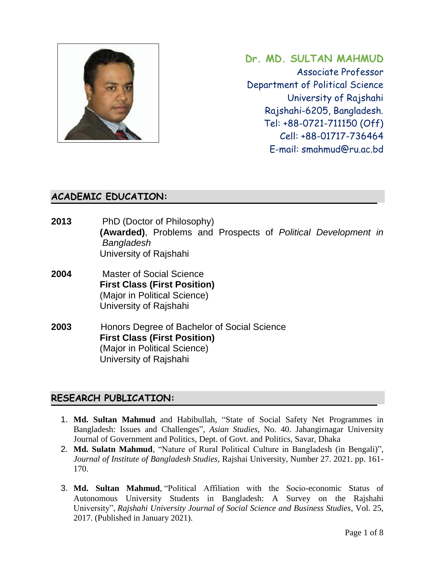

**Dr. MD. SULTAN MAHMUD** Associate Professor Department of Political Science University of Rajshahi Rajshahi-6205, Bangladesh. Tel: +88-0721-711150 (Off) Cell: +88-01717-736464 E-mail: smahmud@ru.ac.bd

## **ACADEMIC EDUCATION:**

- **2013** PhD (Doctor of Philosophy)  **(Awarded)**, Problems and Prospects of *Political Development in Bangladesh* University of Rajshahi
- **2004** Master of Social Science **First Class (First Position)**  (Major in Political Science) University of Rajshahi
- **2003** Honors Degree of Bachelor of Social Science  **First Class (First Position)** (Major in Political Science) University of Rajshahi

## **RESEARCH PUBLICATION:**

- 1. **Md. Sultan Mahmud** and Habibullah, "State of Social Safety Net Programmes in Bangladesh: Issues and Challenges", *Asian Studies*, No. 40. Jahangirnagar University Journal of Government and Politics, Dept. of Govt. and Politics, Savar, Dhaka
- 2. **Md. Sulatn Mahmud**, "Nature of Rural Political Culture in Bangladesh (in Bengali)", *Journal of Institute of Bangladesh Studies*, Rajshai University, Number 27. 2021. pp. 161- 170.
- 3. **Md. Sultan Mahmud**, "Political Affiliation with the Socio-economic Status of Autonomous University Students in Bangladesh: A Survey on the Rajshahi University", *Rajshahi University Journal of Social Science and Business Studies*, Vol. 25, 2017. (Published in January 2021).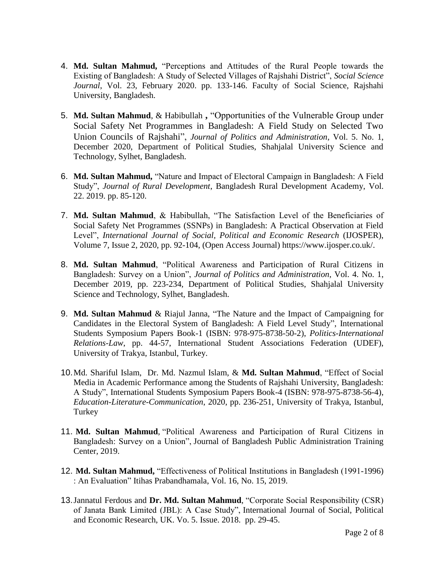- 4. **Md. Sultan Mahmud,** "Perceptions and Attitudes of the Rural People towards the Existing of Bangladesh: A Study of Selected Villages of Rajshahi District", *Social Science Journal*, Vol. 23, February 2020. pp. 133-146. Faculty of Social Science, Rajshahi University, Bangladesh.
- 5. **Md. Sultan Mahmud**, & Habibullah **,** "Opportunities of the Vulnerable Group under Social Safety Net Programmes in Bangladesh: A Field Study on Selected Two Union Councils of Rajshahi", *Journal of Politics and Administration*, Vol. 5. No. 1, December 2020, Department of Political Studies, Shahjalal University Science and Technology, Sylhet, Bangladesh.
- 6. **Md. Sultan Mahmud,** "Nature and Impact of Electoral Campaign in Bangladesh: A Field Study", *Journal of Rural Development*, Bangladesh Rural Development Academy, Vol. 22. 2019. pp. 85-120.
- 7. **Md. Sultan Mahmud**, & Habibullah, "The Satisfaction Level of the Beneficiaries of Social Safety Net Programmes (SSNPs) in Bangladesh: A Practical Observation at Field Level", *International Journal of Social, Political and Economic Research* (IJOSPER), Volume 7, Issue 2, 2020, pp. 92-104, (Open Access Journal) [https://www.ijosper.co.uk/.](https://www.ijosper.co.uk/)
- 8. **Md. Sultan Mahmud**, "Political Awareness and Participation of Rural Citizens in Bangladesh: Survey on a Union", *Journal of Politics and Administration*, Vol. 4. No. 1, December 2019, pp. 223-234, Department of Political Studies, Shahjalal University Science and Technology, Sylhet, Bangladesh.
- 9. **Md. Sultan Mahmud** & Riajul Janna, "The Nature and the Impact of Campaigning for Candidates in the Electoral System of Bangladesh: A Field Level Study", International Students Symposium Papers Book-1 (ISBN: 978-975-8738-50-2), *Politics-International Relations-Law*, pp. 44-57, International Student Associations Federation (UDEF), University of Trakya, Istanbul, Turkey.
- 10.Md. Shariful Islam, Dr. Md. Nazmul Islam, & **Md. Sultan Mahmud**, "Effect of Social Media in Academic Performance among the Students of Rajshahi University, Bangladesh: A Study", International Students Symposium Papers Book-4 (ISBN: 978-975-8738-56-4), *Education-Literature-Communication*, 2020, pp. 236-251, University of Trakya, Istanbul, Turkey
- 11. **Md. Sultan Mahmud**, "Political Awareness and Participation of Rural Citizens in Bangladesh: Survey on a Union", Journal of Bangladesh Public Administration Training Center, 2019.
- 12. **Md. Sultan Mahmud,** "Effectiveness of Political Institutions in Bangladesh (1991-1996) : An Evaluation" Itihas Prabandhamala, Vol. 16, No. 15, 2019.
- 13.Jannatul Ferdous and **Dr. Md. Sultan Mahmud**, "Corporate Social Responsibility (CSR) of Janata Bank Limited (JBL): A Case Study", International Journal of Social, Political and Economic Research, UK. Vo. 5. Issue. 2018. pp. 29-45.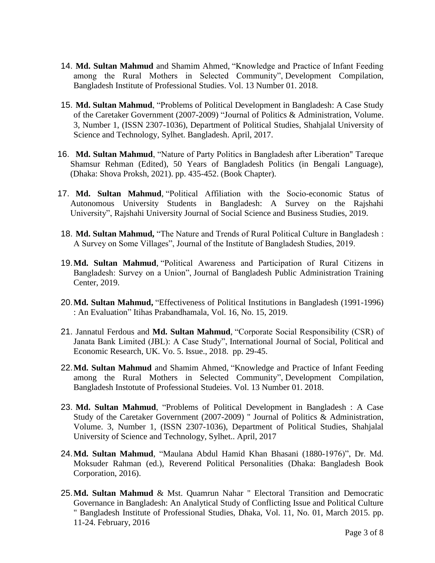- 14. **Md. Sultan Mahmud** and Shamim Ahmed, "Knowledge and Practice of Infant Feeding among the Rural Mothers in Selected Community", Development Compilation, Bangladesh Institute of Professional Studies. Vol. 13 Number 01. 2018.
- 15. **Md. Sultan Mahmud**, "Problems of Political Development in Bangladesh: A Case Study of the Caretaker Government (2007-2009) "Journal of Politics & Administration, Volume. 3, Number 1, (ISSN 2307-1036), Department of Political Studies, Shahjalal University of Science and Technology, Sylhet. Bangladesh. April, 2017.
- 16. **Md. Sultan Mahmud**, "Nature of Party Politics in Bangladesh after Liberation" Tareque Shamsur Rehman (Edited), 50 Years of Bangladesh Politics (in Bengali Language), (Dhaka: Shova Proksh, 2021). pp. 435-452. (Book Chapter).
- 17. **Md. Sultan Mahmud**, "Political Affiliation with the Socio-economic Status of Autonomous University Students in Bangladesh: A Survey on the Rajshahi University", Rajshahi University Journal of Social Science and Business Studies, 2019.
- 18. **Md. Sultan Mahmud,** "The Nature and Trends of Rural Political Culture in Bangladesh : A Survey on Some Villages", Journal of the Institute of Bangladesh Studies, 2019.
- 19.**Md. Sultan Mahmud**, "Political Awareness and Participation of Rural Citizens in Bangladesh: Survey on a Union", Journal of Bangladesh Public Administration Training Center, 2019.
- 20.**Md. Sultan Mahmud,** "Effectiveness of Political Institutions in Bangladesh (1991-1996) : An Evaluation" Itihas Prabandhamala, Vol. 16, No. 15, 2019.
- 21. Jannatul Ferdous and **Md. Sultan Mahmud**, "Corporate Social Responsibility (CSR) of Janata Bank Limited (JBL): A Case Study", International Journal of Social, Political and Economic Research, UK. Vo. 5. Issue., 2018. pp. 29-45.
- 22.**Md. Sultan Mahmud** and Shamim Ahmed, "Knowledge and Practice of Infant Feeding among the Rural Mothers in Selected Community", Development Compilation, Bangladesh Instotute of Professional Studeies. Vol. 13 Number 01. 2018.
- 23. **Md. Sultan Mahmud**, "Problems of Political Development in Bangladesh : A Case Study of the Caretaker Government (2007-2009) " Journal of Politics & Administration, Volume. 3, Number 1, (ISSN 2307-1036), Department of Political Studies, Shahjalal University of Science and Technology, Sylhet.. April, 2017
- 24.**Md. Sultan Mahmud**, "Maulana Abdul Hamid Khan Bhasani (1880-1976)", Dr. Md. Moksuder Rahman (ed.), Reverend Political Personalities (Dhaka: Bangladesh Book Corporation, 2016).
- 25.**Md. Sultan Mahmud** & Mst. Quamrun Nahar " Electoral Transition and Democratic Governance in Bangladesh: An Analytical Study of Conflicting Issue and Political Culture " Bangladesh Institute of Professional Studies, Dhaka, Vol. 11, No. 01, March 2015. pp. 11-24. February, 2016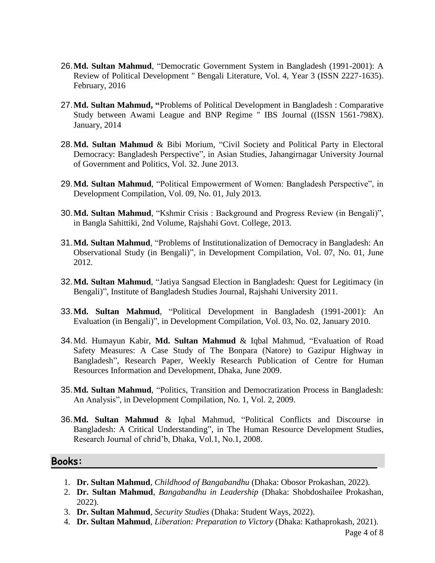- 26.**Md. Sultan Mahmud**, "Democratic Government System in Bangladesh (1991-2001): A Review of Political Development " Bengali Literature, Vol. 4, Year 3 (ISSN 2227-1635). February, 2016
- 27.**Md. Sultan Mahmud, "**Problems of Political Development in Bangladesh : Comparative Study between Awami League and BNP Regime " IBS Journal ((ISSN 1561-798X). January, 2014
- 28.**Md. Sultan Mahmud** & Bibi Morium, "Civil Society and Political Party in Electoral Democracy: Bangladesh Perspective", in Asian Studies, Jahangirnagar University Journal of Government and Politics, Vol. 32. June 2013.
- 29.**Md. Sultan Mahmud**, "Political Empowerment of Women: Bangladesh Perspective", in Development Compilation, Vol. 09, No. 01, July 2013.
- 30.**Md. Sultan Mahmud**, "Kshmir Crisis : Background and Progress Review (in Bengali)", in Bangla Sahittiki, 2nd Volume, Rajshahi Govt. College, 2013.
- 31.**Md. Sultan Mahmud**, "Problems of Institutionalization of Democracy in Bangladesh: An Observational Study (in Bengali)", in Development Compilation, Vol. 07, No. 01, June 2012.
- 32.**Md. Sultan Mahmud**, "Jatiya Sangsad Election in Bangladesh: Quest for Legitimacy (in Bengali)", Institute of Bangladesh Studies Journal, Rajshahi University 2011.
- 33.**Md. Sultan Mahmud**, "Political Development in Bangladesh (1991-2001): An Evaluation (in Bengali)", in Development Compilation, Vol. 03, No. 02, January 2010.
- 34.Md. Humayun Kabir, **Md. Sultan Mahmud** & Iqbal Mahmud, "Evaluation of Road Safety Measures: A Case Study of The Bonpara (Natore) to Gazipur Highway in Bangladesh", Research Paper, Weekly Research Publication of Centre for Human Resources Information and Development, Dhaka, June 2009.
- 35.**Md. Sultan Mahmud**, "Politics, Transition and Democratization Process in Bangladesh: An Analysis", in Development Compilation, No. 1, Vol. 2, 2009.
- 36.**Md. Sultan Mahmud** & Iqbal Mahmud, "Political Conflicts and Discourse in Bangladesh: A Critical Understanding", in The Human Resource Development Studies, Research Journal of chrid'b, Dhaka, Vol.1, No.1, 2008.

#### **Books:**

- 1. **Dr. Sultan Mahmud**, *Childhood of Bangabandhu* (Dhaka: Obosor Prokashan, 2022).
- 2. **Dr. Sultan Mahmud**, *Bangabandhu in Leadership* (Dhaka: Shobdoshailee Prokashan, 2022).
- 3. **Dr. Sultan Mahmud**, *Security Studies* (Dhaka: Student Ways, 2022).
- 4. **Dr. Sultan Mahmud**, *Liberation: Preparation to Victory* (Dhaka: Kathaprokash, 2021).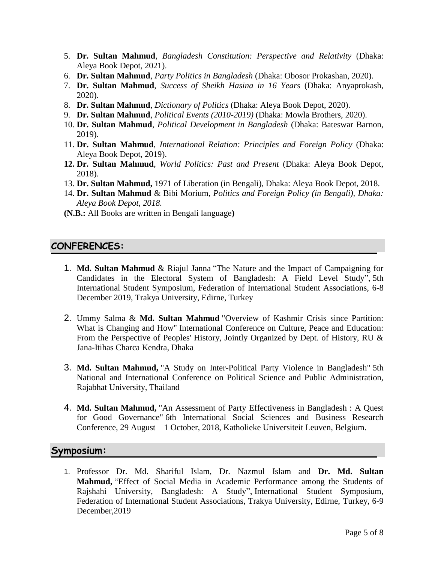- 5. **Dr. Sultan Mahmud**, *Bangladesh Constitution: Perspective and Relativity* (Dhaka: Aleya Book Depot, 2021).
- 6. **Dr. Sultan Mahmud**, *Party Politics in Bangladesh* (Dhaka: Obosor Prokashan, 2020).
- 7. **Dr. Sultan Mahmud**, *Success of Sheikh Hasina in 16 Years* (Dhaka: Anyaprokash, 2020).
- 8. **Dr. Sultan Mahmud**, *Dictionary of Politics* (Dhaka: Aleya Book Depot, 2020).
- 9. **Dr. Sultan Mahmud**, *Political Events (2010-2019)* (Dhaka: Mowla Brothers, 2020).
- 10. **Dr. Sultan Mahmud**, *Political Development in Bangladesh* (Dhaka: Bateswar Barnon, 2019).
- 11. **Dr. Sultan Mahmud**, *International Relation: Principles and Foreign Policy* (Dhaka: Aleya Book Depot, 2019).
- **12. Dr. Sultan Mahmud**, *World Politics: Past and Present* (Dhaka: Aleya Book Depot, 2018).
- 13. **Dr. Sultan Mahmud,** 1971 of Liberation (in Bengali), Dhaka: Aleya Book Depot, 2018.
- 14. **Dr. Sultan Mahmud** & Bibi Morium*, Politics and Foreign Policy (in Bengali), Dhaka: Aleya Book Depot, 2018.*
- **(N.B.:** All Books are written in Bengali language**)**

#### **CONFERENCES:**

- 1. **Md. Sultan Mahmud** & Riajul Janna "The Nature and the Impact of Campaigning for Candidates in the Electoral System of Bangladesh: A Field Level Study", 5th International Student Symposium, Federation of International Student Associations, 6-8 December 2019, Trakya University, Edirne, Turkey
- 2. Ummy Salma & **Md. Sultan Mahmud** "Overview of Kashmir Crisis since Partition: What is Changing and How" International Conference on Culture, Peace and Education: From the Perspective of Peoples' History, Jointly Organized by Dept. of History, RU & Jana-Itihas Charca Kendra, Dhaka
- 3. **Md. Sultan Mahmud,** "A Study on Inter-Political Party Violence in Bangladesh" 5th National and International Conference on Political Science and Public Administration, Rajabhat University, Thailand
- 4. **Md. Sultan Mahmud,** "An Assessment of Party Effectiveness in Bangladesh : A Quest for Good Governance" 6th International Social Sciences and Business Research Conference, 29 August – 1 October, 2018, Katholieke Universiteit Leuven, Belgium.

#### **Symposium:**

1. Professor Dr. Md. Shariful Islam, Dr. Nazmul Islam and **Dr. Md. Sultan Mahmud,** "Effect of Social Media in Academic Performance among the Students of Rajshahi University, Bangladesh: A Study", International Student Symposium, Federation of International Student Associations, Trakya University, Edirne, Turkey, 6-9 December,2019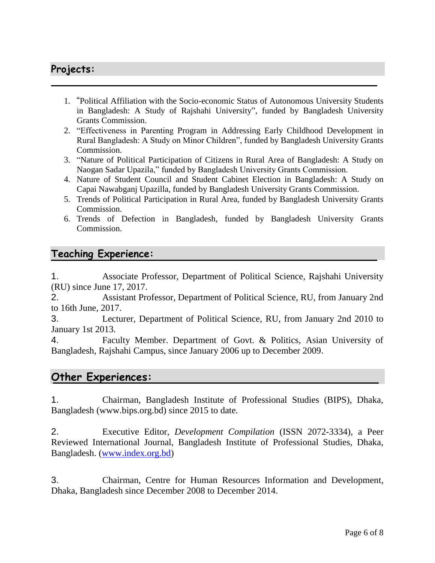# **Projects:**

- 1. "Political Affiliation with the Socio-economic Status of Autonomous University Students in Bangladesh: A Study of Rajshahi University", funded by Bangladesh University Grants Commission.
- 2. "Effectiveness in Parenting Program in Addressing Early Childhood Development in Rural Bangladesh: A Study on Minor Children", funded by Bangladesh University Grants Commission.
- 3. "Nature of Political Participation of Citizens in Rural Area of Bangladesh: A Study on Naogan Sadar Upazila," funded by Bangladesh University Grants Commission.
- 4. Nature of Student Council and Student Cabinet Election in Bangladesh: A Study on Capai Nawabganj Upazilla, funded by Bangladesh University Grants Commission.
- 5. Trends of Political Participation in Rural Area, funded by Bangladesh University Grants Commission.
- 6. Trends of Defection in Bangladesh, funded by Bangladesh University Grants Commission.

## **Teaching Experience:**

1. Associate Professor, Department of Political Science, Rajshahi University (RU) since June 17, 2017.

2. Assistant Professor, Department of Political Science, RU, from January 2nd to 16th June, 2017.

3. Lecturer, Department of Political Science, RU, from January 2nd 2010 to January 1st 2013.

4. Faculty Member. Department of Govt. & Politics, Asian University of Bangladesh, Rajshahi Campus, since January 2006 up to December 2009.

## **Other Experiences:**

1. Chairman, Bangladesh Institute of Professional Studies (BIPS), Dhaka, Bangladesh (www.bips.org.bd) since 2015 to date.

2. Executive Editor, *Development Compilation* (ISSN 2072-3334), a Peer Reviewed International Journal, Bangladesh Institute of Professional Studies, Dhaka, Bangladesh. [\(www.index.org.bd\)](http://www.index.org.bd/)

3. Chairman, Centre for Human Resources Information and Development, Dhaka, Bangladesh since December 2008 to December 2014.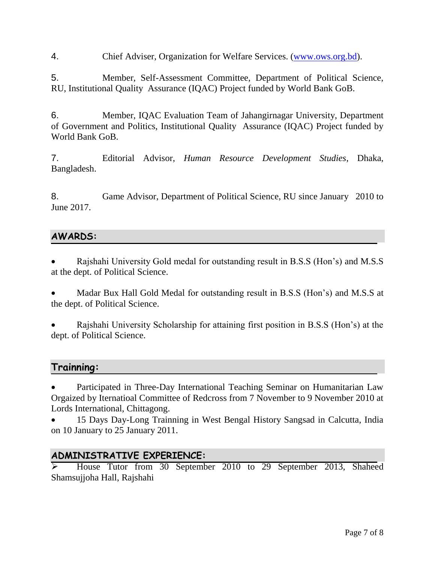4. Chief Adviser, Organization for Welfare Services. [\(www.ows.org.bd\)](http://www.ows.org.bd/).

5. Member, Self-Assessment Committee, Department of Political Science, RU, Institutional Quality Assurance (IQAC) Project funded by World Bank GoB.

6. Member, IQAC Evaluation Team of Jahangirnagar University, Department of Government and Politics, Institutional Quality Assurance (IQAC) Project funded by World Bank GoB.

7. Editorial Advisor, *Human Resource Development Studies*, Dhaka, Bangladesh.

8. Game Advisor, Department of Political Science, RU since January 2010 to June 2017.

## **AWARDS:**

 Rajshahi University Gold medal for outstanding result in B.S.S (Hon's) and M.S.S at the dept. of Political Science.

 Madar Bux Hall Gold Medal for outstanding result in B.S.S (Hon's) and M.S.S at the dept. of Political Science.

 Rajshahi University Scholarship for attaining first position in B.S.S (Hon's) at the dept. of Political Science.

## **Trainning:**

 Participated in Three-Day International Teaching Seminar on Humanitarian Law Orgaized by Iternatioal Committee of Redcross from 7 November to 9 November 2010 at Lords International, Chittagong.

 15 Days Day-Long Trainning in West Bengal History Sangsad in Calcutta, India on 10 January to 25 January 2011.

#### **ADMINISTRATIVE EXPERIENCE:**

 House Tutor from 30 September 2010 to 29 September 2013, Shaheed Shamsujjoha Hall, Rajshahi